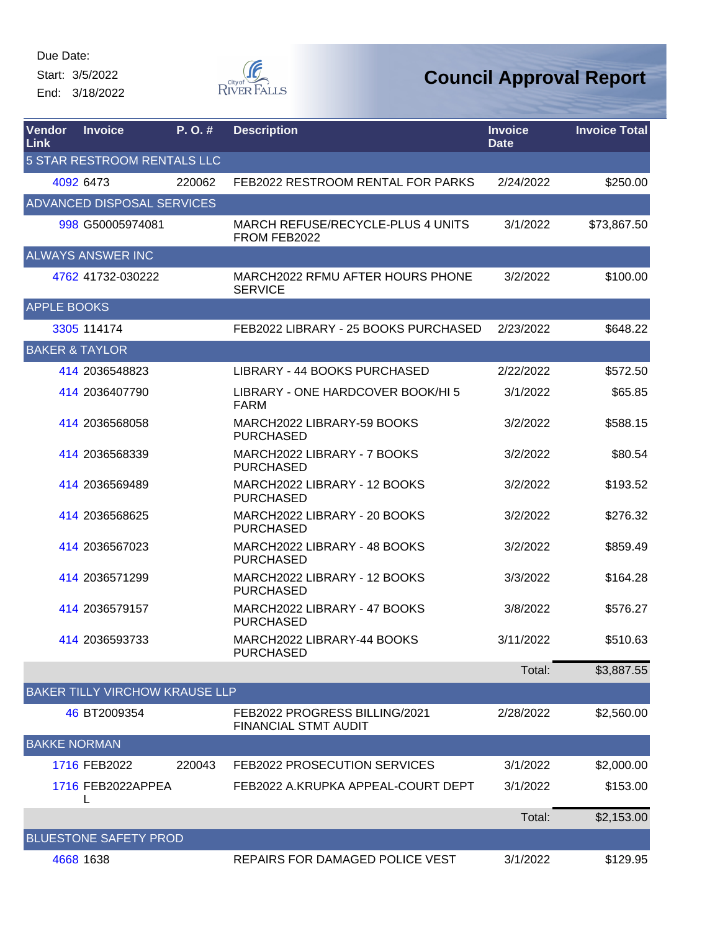Start: 3/5/2022

End: 3/18/2022



| Vendor<br>Link | <b>Invoice</b>                    | P. O. #                               | <b>Description</b>                                           | <b>Invoice</b><br><b>Date</b> | <b>Invoice Total</b> |
|----------------|-----------------------------------|---------------------------------------|--------------------------------------------------------------|-------------------------------|----------------------|
|                |                                   | <b>5 STAR RESTROOM RENTALS LLC</b>    |                                                              |                               |                      |
|                | 4092 6473                         | 220062                                | FEB2022 RESTROOM RENTAL FOR PARKS                            | 2/24/2022                     | \$250.00             |
|                | <b>ADVANCED DISPOSAL SERVICES</b> |                                       |                                                              |                               |                      |
|                | 998 G50005974081                  |                                       | MARCH REFUSE/RECYCLE-PLUS 4 UNITS<br>FROM FEB2022            | 3/1/2022                      | \$73,867.50          |
|                | <b>ALWAYS ANSWER INC</b>          |                                       |                                                              |                               |                      |
|                | 4762 41732-030222                 |                                       | MARCH2022 RFMU AFTER HOURS PHONE<br><b>SERVICE</b>           | 3/2/2022                      | \$100.00             |
|                | <b>APPLE BOOKS</b>                |                                       |                                                              |                               |                      |
|                | 3305 114174                       |                                       | FEB2022 LIBRARY - 25 BOOKS PURCHASED                         | 2/23/2022                     | \$648.22             |
|                | <b>BAKER &amp; TAYLOR</b>         |                                       |                                                              |                               |                      |
|                | 414 2036548823                    |                                       | LIBRARY - 44 BOOKS PURCHASED                                 | 2/22/2022                     | \$572.50             |
|                | 414 2036407790                    |                                       | LIBRARY - ONE HARDCOVER BOOK/HI 5<br><b>FARM</b>             | 3/1/2022                      | \$65.85              |
|                | 414 2036568058                    |                                       | MARCH2022 LIBRARY-59 BOOKS<br><b>PURCHASED</b>               | 3/2/2022                      | \$588.15             |
|                | 414 2036568339                    |                                       | MARCH2022 LIBRARY - 7 BOOKS<br><b>PURCHASED</b>              | 3/2/2022                      | \$80.54              |
|                | 414 2036569489                    |                                       | MARCH2022 LIBRARY - 12 BOOKS<br><b>PURCHASED</b>             | 3/2/2022                      | \$193.52             |
|                | 414 2036568625                    |                                       | MARCH2022 LIBRARY - 20 BOOKS<br><b>PURCHASED</b>             | 3/2/2022                      | \$276.32             |
|                | 414 2036567023                    |                                       | MARCH2022 LIBRARY - 48 BOOKS<br><b>PURCHASED</b>             | 3/2/2022                      | \$859.49             |
|                | 414 2036571299                    |                                       | MARCH2022 LIBRARY - 12 BOOKS<br><b>PURCHASED</b>             | 3/3/2022                      | \$164.28             |
|                | 414 2036579157                    |                                       | MARCH2022 LIBRARY - 47 BOOKS<br><b>PURCHASED</b>             | 3/8/2022                      | \$576.27             |
|                | 414 2036593733                    |                                       | MARCH2022 LIBRARY-44 BOOKS<br><b>PURCHASED</b>               | 3/11/2022                     | \$510.63             |
|                |                                   |                                       |                                                              | Total:                        | \$3,887.55           |
|                |                                   | <b>BAKER TILLY VIRCHOW KRAUSE LLP</b> |                                                              |                               |                      |
|                | 46 BT2009354                      |                                       | FEB2022 PROGRESS BILLING/2021<br><b>FINANCIAL STMT AUDIT</b> | 2/28/2022                     | \$2,560.00           |
|                | <b>BAKKE NORMAN</b>               |                                       |                                                              |                               |                      |
|                | 1716 FEB2022                      | 220043                                | FEB2022 PROSECUTION SERVICES                                 | 3/1/2022                      | \$2,000.00           |
|                | 1716 FEB2022APPEA                 |                                       | FEB2022 A.KRUPKA APPEAL-COURT DEPT                           | 3/1/2022                      | \$153.00             |
|                |                                   |                                       |                                                              | Total:                        | \$2,153.00           |
|                | <b>BLUESTONE SAFETY PROD</b>      |                                       |                                                              |                               |                      |
|                | 4668 1638                         |                                       | REPAIRS FOR DAMAGED POLICE VEST                              | 3/1/2022                      | \$129.95             |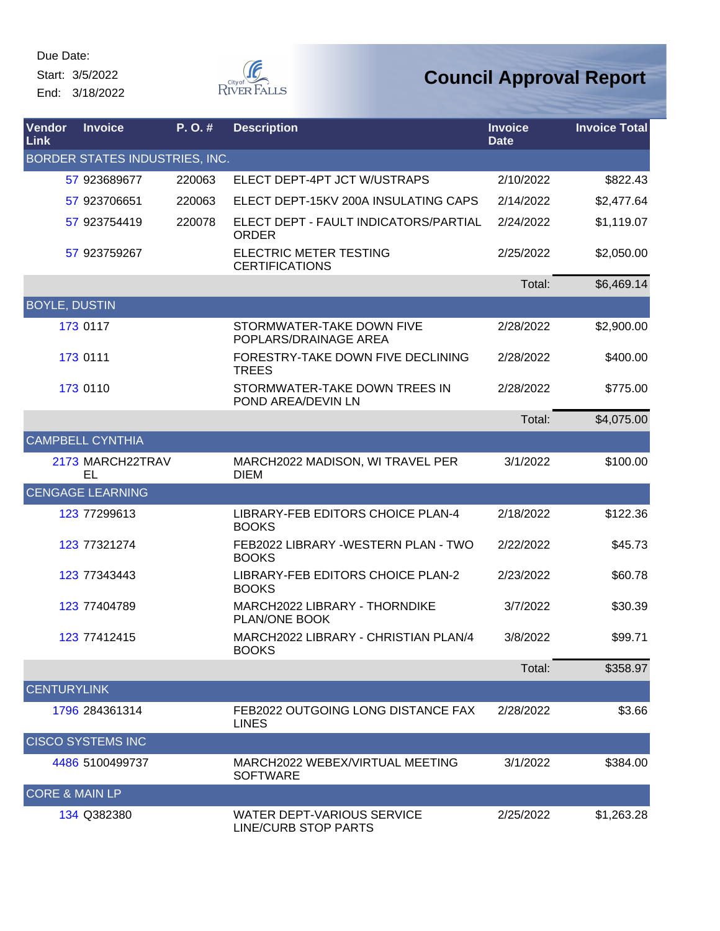Start: 3/5/2022

End: 3/18/2022



| <b>Vendor</b><br>Link     | <b>Invoice</b>                 | P.O.#  | <b>Description</b>                                        | <b>Invoice</b><br><b>Date</b> | <b>Invoice Total</b> |
|---------------------------|--------------------------------|--------|-----------------------------------------------------------|-------------------------------|----------------------|
|                           | BORDER STATES INDUSTRIES, INC. |        |                                                           |                               |                      |
|                           | 57 923689677                   | 220063 | ELECT DEPT-4PT JCT W/USTRAPS                              | 2/10/2022                     | \$822.43             |
|                           | 57 923706651                   | 220063 | ELECT DEPT-15KV 200A INSULATING CAPS                      | 2/14/2022                     | \$2,477.64           |
|                           | 57 923754419                   | 220078 | ELECT DEPT - FAULT INDICATORS/PARTIAL<br><b>ORDER</b>     | 2/24/2022                     | \$1,119.07           |
|                           | 57 923759267                   |        | ELECTRIC METER TESTING<br><b>CERTIFICATIONS</b>           | 2/25/2022                     | \$2,050.00           |
|                           |                                |        |                                                           | Total:                        | \$6,469.14           |
| <b>BOYLE, DUSTIN</b>      |                                |        |                                                           |                               |                      |
|                           | 173 0117                       |        | STORMWATER-TAKE DOWN FIVE<br>POPLARS/DRAINAGE AREA        | 2/28/2022                     | \$2,900.00           |
|                           | 173 0111                       |        | FORESTRY-TAKE DOWN FIVE DECLINING<br><b>TREES</b>         | 2/28/2022                     | \$400.00             |
|                           | 173 0110                       |        | STORMWATER-TAKE DOWN TREES IN<br>POND AREA/DEVIN LN       | 2/28/2022                     | \$775.00             |
|                           |                                |        |                                                           | Total:                        | \$4,075.00           |
|                           | <b>CAMPBELL CYNTHIA</b>        |        |                                                           |                               |                      |
|                           | 2173 MARCH22TRAV<br><b>EL</b>  |        | MARCH2022 MADISON, WI TRAVEL PER<br><b>DIEM</b>           | 3/1/2022                      | \$100.00             |
|                           | <b>CENGAGE LEARNING</b>        |        |                                                           |                               |                      |
|                           | 123 77299613                   |        | LIBRARY-FEB EDITORS CHOICE PLAN-4<br><b>BOOKS</b>         | 2/18/2022                     | \$122.36             |
|                           | 123 77321274                   |        | FEB2022 LIBRARY -WESTERN PLAN - TWO<br><b>BOOKS</b>       | 2/22/2022                     | \$45.73              |
|                           | 123 77343443                   |        | LIBRARY-FEB EDITORS CHOICE PLAN-2<br><b>BOOKS</b>         | 2/23/2022                     | \$60.78              |
|                           | 123 77404789                   |        | MARCH2022 LIBRARY - THORNDIKE<br>PLAN/ONE BOOK            | 3/7/2022                      | \$30.39              |
|                           | 123 77412415                   |        | MARCH2022 LIBRARY - CHRISTIAN PLAN/4<br><b>BOOKS</b>      | 3/8/2022                      | \$99.71              |
|                           |                                |        |                                                           | Total:                        | \$358.97             |
| <b>CENTURYLINK</b>        |                                |        |                                                           |                               |                      |
|                           | 1796 284361314                 |        | FEB2022 OUTGOING LONG DISTANCE FAX<br><b>LINES</b>        | 2/28/2022                     | \$3.66               |
|                           | <b>CISCO SYSTEMS INC</b>       |        |                                                           |                               |                      |
|                           | 4486 5100499737                |        | MARCH2022 WEBEX/VIRTUAL MEETING<br><b>SOFTWARE</b>        | 3/1/2022                      | \$384.00             |
| <b>CORE &amp; MAIN LP</b> |                                |        |                                                           |                               |                      |
|                           | 134 Q382380                    |        | WATER DEPT-VARIOUS SERVICE<br><b>LINE/CURB STOP PARTS</b> | 2/25/2022                     | \$1,263.28           |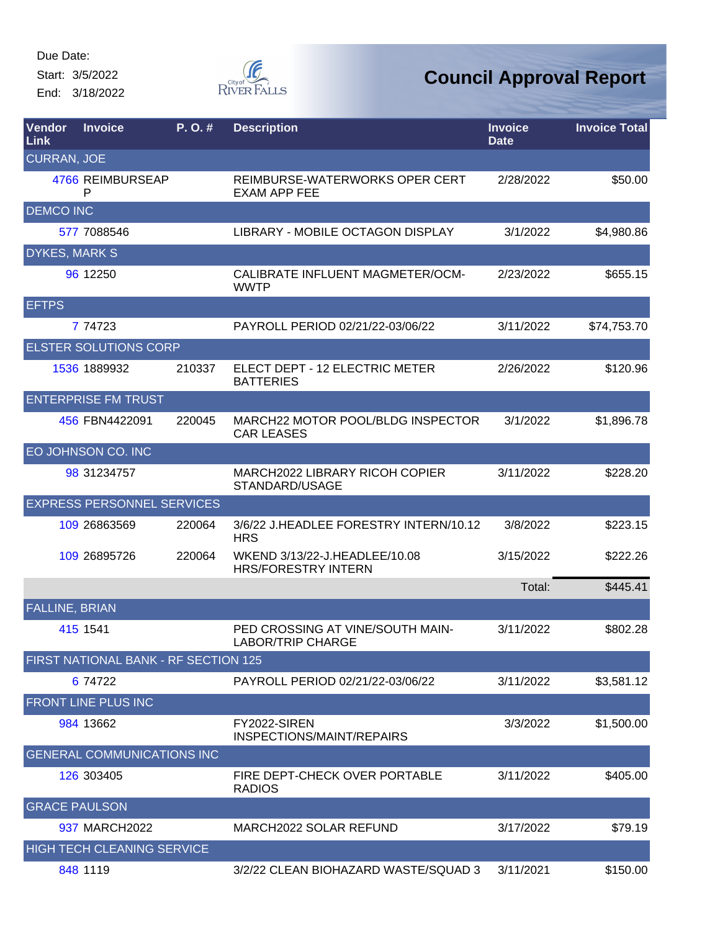Start: 3/5/2022 End: 3/18/2022



| Vendor<br><b>Link</b> | <b>Invoice</b>                       | P.O.#  | <b>Description</b>                                           | <b>Invoice</b><br><b>Date</b> | <b>Invoice Total</b> |
|-----------------------|--------------------------------------|--------|--------------------------------------------------------------|-------------------------------|----------------------|
| <b>CURRAN, JOE</b>    |                                      |        |                                                              |                               |                      |
|                       | 4766 REIMBURSEAP<br>P                |        | REIMBURSE-WATERWORKS OPER CERT<br><b>EXAM APP FEE</b>        | 2/28/2022                     | \$50.00              |
| <b>DEMCO INC</b>      |                                      |        |                                                              |                               |                      |
|                       | 577 7088546                          |        | LIBRARY - MOBILE OCTAGON DISPLAY                             | 3/1/2022                      | \$4,980.86           |
| <b>DYKES, MARK S</b>  |                                      |        |                                                              |                               |                      |
|                       | 96 12250                             |        | CALIBRATE INFLUENT MAGMETER/OCM-<br><b>WWTP</b>              | 2/23/2022                     | \$655.15             |
| <b>EFTPS</b>          |                                      |        |                                                              |                               |                      |
|                       | 7 74723                              |        | PAYROLL PERIOD 02/21/22-03/06/22                             | 3/11/2022                     | \$74,753.70          |
|                       | <b>ELSTER SOLUTIONS CORP</b>         |        |                                                              |                               |                      |
|                       | 1536 1889932                         | 210337 | ELECT DEPT - 12 ELECTRIC METER<br><b>BATTERIES</b>           | 2/26/2022                     | \$120.96             |
|                       | <b>ENTERPRISE FM TRUST</b>           |        |                                                              |                               |                      |
|                       | 456 FBN4422091                       | 220045 | MARCH22 MOTOR POOL/BLDG INSPECTOR<br><b>CAR LEASES</b>       | 3/1/2022                      | \$1,896.78           |
|                       | EO JOHNSON CO. INC                   |        |                                                              |                               |                      |
|                       | 98 31234757                          |        | MARCH2022 LIBRARY RICOH COPIER<br>STANDARD/USAGE             | 3/11/2022                     | \$228.20             |
|                       | <b>EXPRESS PERSONNEL SERVICES</b>    |        |                                                              |                               |                      |
|                       | 109 26863569                         | 220064 | 3/6/22 J.HEADLEE FORESTRY INTERN/10.12<br><b>HRS</b>         | 3/8/2022                      | \$223.15             |
|                       | 109 26895726                         | 220064 | WKEND 3/13/22-J.HEADLEE/10.08<br><b>HRS/FORESTRY INTERN</b>  | 3/15/2022                     | \$222.26             |
|                       |                                      |        |                                                              | Total:                        | \$445.41             |
| <b>FALLINE, BRIAN</b> |                                      |        |                                                              |                               |                      |
|                       | 415 1541                             |        | PED CROSSING AT VINE/SOUTH MAIN-<br><b>LABOR/TRIP CHARGE</b> | 3/11/2022                     | \$802.28             |
|                       | FIRST NATIONAL BANK - RF SECTION 125 |        |                                                              |                               |                      |
|                       | 6 74722                              |        | PAYROLL PERIOD 02/21/22-03/06/22                             | 3/11/2022                     | \$3,581.12           |
|                       | FRONT LINE PLUS INC                  |        |                                                              |                               |                      |
|                       | 984 13662                            |        | FY2022-SIREN<br>INSPECTIONS/MAINT/REPAIRS                    | 3/3/2022                      | \$1,500.00           |
|                       | <b>GENERAL COMMUNICATIONS INC</b>    |        |                                                              |                               |                      |
|                       | 126 303405                           |        | FIRE DEPT-CHECK OVER PORTABLE<br><b>RADIOS</b>               | 3/11/2022                     | \$405.00             |
| <b>GRACE PAULSON</b>  |                                      |        |                                                              |                               |                      |
|                       | 937 MARCH2022                        |        | MARCH2022 SOLAR REFUND                                       | 3/17/2022                     | \$79.19              |
|                       | <b>HIGH TECH CLEANING SERVICE</b>    |        |                                                              |                               |                      |
|                       | 848 1119                             |        | 3/2/22 CLEAN BIOHAZARD WASTE/SQUAD 3                         | 3/11/2021                     | \$150.00             |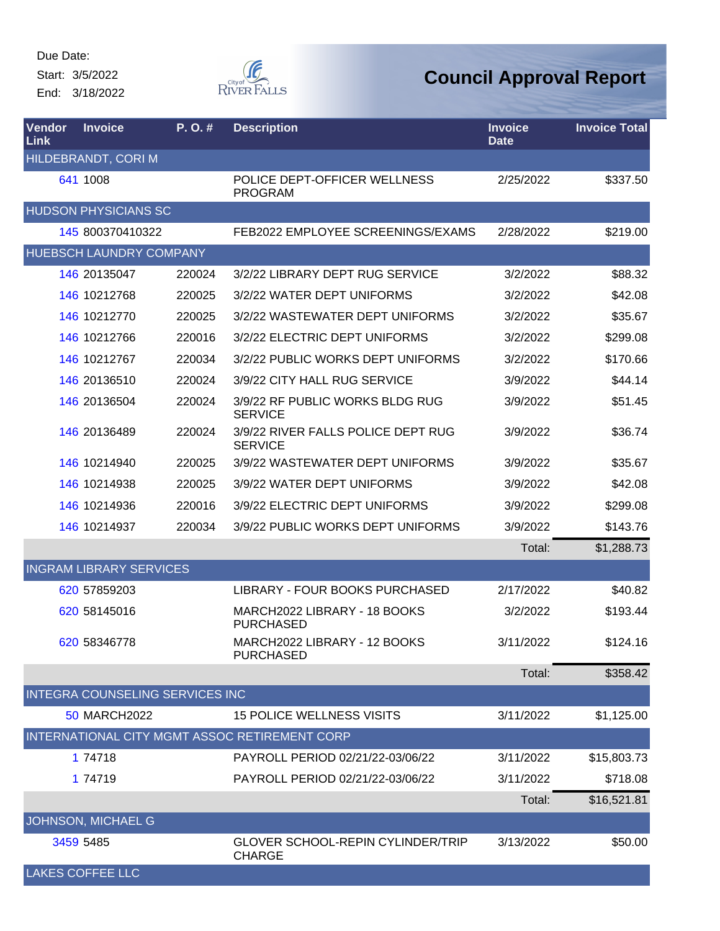Start: 3/5/2022 End: 3/18/2022



| Vendor<br>Link | <b>Invoice</b>                         | P.O.#  | <b>Description</b>                                        | <b>Invoice</b><br><b>Date</b> | <b>Invoice Total</b> |
|----------------|----------------------------------------|--------|-----------------------------------------------------------|-------------------------------|----------------------|
|                | HILDEBRANDT, CORI M                    |        |                                                           |                               |                      |
|                | 641 1008                               |        | POLICE DEPT-OFFICER WELLNESS<br><b>PROGRAM</b>            | 2/25/2022                     | \$337.50             |
|                | <b>HUDSON PHYSICIANS SC</b>            |        |                                                           |                               |                      |
|                | 145 800370410322                       |        | FEB2022 EMPLOYEE SCREENINGS/EXAMS                         | 2/28/2022                     | \$219.00             |
|                | HUEBSCH LAUNDRY COMPANY                |        |                                                           |                               |                      |
|                | 146 20135047                           | 220024 | 3/2/22 LIBRARY DEPT RUG SERVICE                           | 3/2/2022                      | \$88.32              |
|                | 146 10212768                           | 220025 | 3/2/22 WATER DEPT UNIFORMS                                | 3/2/2022                      | \$42.08              |
|                | 146 10212770                           | 220025 | 3/2/22 WASTEWATER DEPT UNIFORMS                           | 3/2/2022                      | \$35.67              |
|                | 146 10212766                           | 220016 | 3/2/22 ELECTRIC DEPT UNIFORMS                             | 3/2/2022                      | \$299.08             |
|                | 146 10212767                           | 220034 | 3/2/22 PUBLIC WORKS DEPT UNIFORMS                         | 3/2/2022                      | \$170.66             |
|                | 146 20136510                           | 220024 | 3/9/22 CITY HALL RUG SERVICE                              | 3/9/2022                      | \$44.14              |
|                | 146 20136504                           | 220024 | 3/9/22 RF PUBLIC WORKS BLDG RUG<br><b>SERVICE</b>         | 3/9/2022                      | \$51.45              |
|                | 146 20136489                           | 220024 | 3/9/22 RIVER FALLS POLICE DEPT RUG<br><b>SERVICE</b>      | 3/9/2022                      | \$36.74              |
|                | 146 10214940                           | 220025 | 3/9/22 WASTEWATER DEPT UNIFORMS                           | 3/9/2022                      | \$35.67              |
|                | 146 10214938                           | 220025 | 3/9/22 WATER DEPT UNIFORMS                                | 3/9/2022                      | \$42.08              |
|                | 146 10214936                           | 220016 | 3/9/22 ELECTRIC DEPT UNIFORMS                             | 3/9/2022                      | \$299.08             |
|                | 146 10214937                           | 220034 | 3/9/22 PUBLIC WORKS DEPT UNIFORMS                         | 3/9/2022                      | \$143.76             |
|                |                                        |        |                                                           | Total:                        | \$1,288.73           |
|                | <b>INGRAM LIBRARY SERVICES</b>         |        |                                                           |                               |                      |
|                | 620 57859203                           |        | LIBRARY - FOUR BOOKS PURCHASED                            | 2/17/2022                     | \$40.82              |
|                | 620 58145016                           |        | MARCH2022 LIBRARY - 18 BOOKS<br><b>PURCHASED</b>          | 3/2/2022                      | \$193.44             |
|                | 620 58346778                           |        | MARCH2022 LIBRARY - 12 BOOKS<br><b>PURCHASED</b>          | 3/11/2022                     | \$124.16             |
|                |                                        |        |                                                           | Total:                        | \$358.42             |
|                | <b>INTEGRA COUNSELING SERVICES INC</b> |        |                                                           |                               |                      |
|                | <b>50 MARCH2022</b>                    |        | <b>15 POLICE WELLNESS VISITS</b>                          | 3/11/2022                     | \$1,125.00           |
|                |                                        |        | INTERNATIONAL CITY MGMT ASSOC RETIREMENT CORP             |                               |                      |
|                | 1 74718                                |        | PAYROLL PERIOD 02/21/22-03/06/22                          | 3/11/2022                     | \$15,803.73          |
|                | 1 74719                                |        | PAYROLL PERIOD 02/21/22-03/06/22                          | 3/11/2022                     | \$718.08             |
|                |                                        |        |                                                           | Total:                        | \$16,521.81          |
|                | JOHNSON, MICHAEL G                     |        |                                                           |                               |                      |
|                | 3459 5485                              |        | <b>GLOVER SCHOOL-REPIN CYLINDER/TRIP</b><br><b>CHARGE</b> | 3/13/2022                     | \$50.00              |
|                | <b>LAKES COFFEE LLC</b>                |        |                                                           |                               |                      |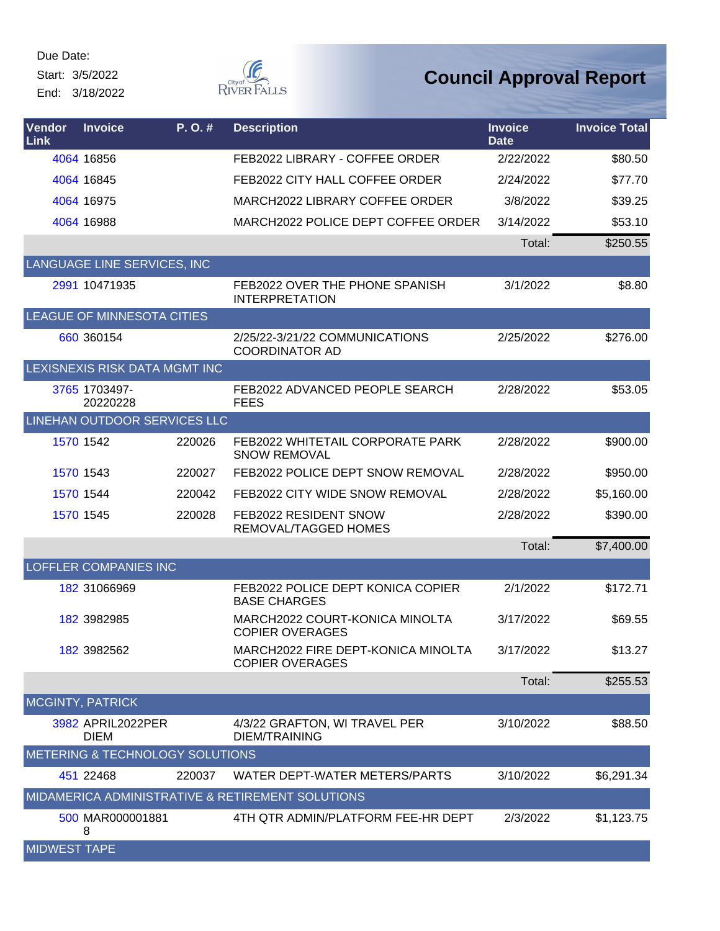Start: 3/5/2022

End: 3/18/2022



| Vendor<br><b>Link</b> | <b>Invoice</b>                   | P. O. # | <b>Description</b>                                           | <b>Invoice</b><br><b>Date</b> | <b>Invoice Total</b> |
|-----------------------|----------------------------------|---------|--------------------------------------------------------------|-------------------------------|----------------------|
|                       | 4064 16856                       |         | FEB2022 LIBRARY - COFFEE ORDER                               | 2/22/2022                     | \$80.50              |
|                       | 4064 16845                       |         | FEB2022 CITY HALL COFFEE ORDER                               | 2/24/2022                     | \$77.70              |
|                       | 4064 16975                       |         | MARCH2022 LIBRARY COFFEE ORDER                               | 3/8/2022                      | \$39.25              |
|                       | 4064 16988                       |         | MARCH2022 POLICE DEPT COFFEE ORDER                           | 3/14/2022                     | \$53.10              |
|                       |                                  |         |                                                              | Total:                        | \$250.55             |
|                       | LANGUAGE LINE SERVICES, INC      |         |                                                              |                               |                      |
|                       | 2991 10471935                    |         | FEB2022 OVER THE PHONE SPANISH<br><b>INTERPRETATION</b>      | 3/1/2022                      | \$8.80               |
|                       | LEAGUE OF MINNESOTA CITIES       |         |                                                              |                               |                      |
|                       | 660 360154                       |         | 2/25/22-3/21/22 COMMUNICATIONS<br><b>COORDINATOR AD</b>      | 2/25/2022                     | \$276.00             |
|                       | LEXISNEXIS RISK DATA MGMT INC    |         |                                                              |                               |                      |
|                       | 3765 1703497-<br>20220228        |         | FEB2022 ADVANCED PEOPLE SEARCH<br><b>FEES</b>                | 2/28/2022                     | \$53.05              |
|                       | LINEHAN OUTDOOR SERVICES LLC     |         |                                                              |                               |                      |
|                       | 1570 1542                        | 220026  | FEB2022 WHITETAIL CORPORATE PARK<br><b>SNOW REMOVAL</b>      | 2/28/2022                     | \$900.00             |
|                       | 1570 1543                        | 220027  | FEB2022 POLICE DEPT SNOW REMOVAL                             | 2/28/2022                     | \$950.00             |
|                       | 1570 1544                        | 220042  | FEB2022 CITY WIDE SNOW REMOVAL                               | 2/28/2022                     | \$5,160.00           |
|                       | 1570 1545                        | 220028  | FEB2022 RESIDENT SNOW<br>REMOVAL/TAGGED HOMES                | 2/28/2022                     | \$390.00             |
|                       |                                  |         |                                                              | Total:                        | \$7,400.00           |
|                       | <b>LOFFLER COMPANIES INC</b>     |         |                                                              |                               |                      |
|                       | 182 31066969                     |         | FEB2022 POLICE DEPT KONICA COPIER<br><b>BASE CHARGES</b>     | 2/1/2022                      | \$172.71             |
|                       | 182 3982985                      |         | MARCH2022 COURT-KONICA MINOLTA<br><b>COPIER OVERAGES</b>     | 3/17/2022                     | \$69.55              |
|                       | 182 3982562                      |         | MARCH2022 FIRE DEPT-KONICA MINOLTA<br><b>COPIER OVERAGES</b> | 3/17/2022                     | \$13.27              |
|                       |                                  |         |                                                              | Total:                        | \$255.53             |
|                       | <b>MCGINTY, PATRICK</b>          |         |                                                              |                               |                      |
|                       | 3982 APRIL2022PER<br><b>DIEM</b> |         | 4/3/22 GRAFTON, WI TRAVEL PER<br><b>DIEM/TRAINING</b>        | 3/10/2022                     | \$88.50              |
|                       | METERING & TECHNOLOGY SOLUTIONS  |         |                                                              |                               |                      |
|                       | 451 22468                        | 220037  | WATER DEPT-WATER METERS/PARTS                                | 3/10/2022                     | \$6,291.34           |
|                       |                                  |         | MIDAMERICA ADMINISTRATIVE & RETIREMENT SOLUTIONS             |                               |                      |
|                       | 500 MAR000001881<br>8            |         | 4TH QTR ADMIN/PLATFORM FEE-HR DEPT                           | 2/3/2022                      | \$1,123.75           |
| <b>MIDWEST TAPE</b>   |                                  |         |                                                              |                               |                      |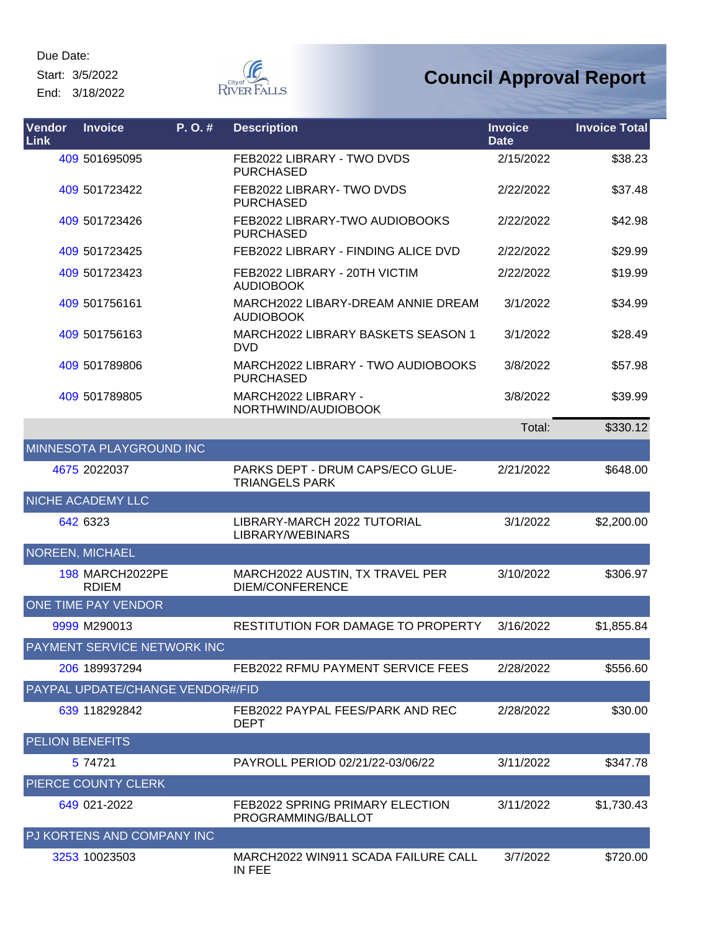Start: 3/5/2022

End: 3/18/2022



| Vendor<br>Link         | <b>Invoice</b>                         | P. O.# | <b>Description</b>                                           | <b>Invoice</b><br><b>Date</b> | <b>Invoice Total</b> |
|------------------------|----------------------------------------|--------|--------------------------------------------------------------|-------------------------------|----------------------|
|                        | 409 501695095                          |        | FEB2022 LIBRARY - TWO DVDS<br><b>PURCHASED</b>               | 2/15/2022                     | \$38.23              |
|                        | 409 501723422                          |        | FEB2022 LIBRARY- TWO DVDS<br><b>PURCHASED</b>                | 2/22/2022                     | \$37.48              |
|                        | 409 501723426                          |        | FEB2022 LIBRARY-TWO AUDIOBOOKS<br><b>PURCHASED</b>           | 2/22/2022                     | \$42.98              |
|                        | 409 501723425                          |        | FEB2022 LIBRARY - FINDING ALICE DVD                          | 2/22/2022                     | \$29.99              |
|                        | 409 501723423                          |        | FEB2022 LIBRARY - 20TH VICTIM<br><b>AUDIOBOOK</b>            | 2/22/2022                     | \$19.99              |
|                        | 409 501756161                          |        | MARCH2022 LIBARY-DREAM ANNIE DREAM<br><b>AUDIOBOOK</b>       | 3/1/2022                      | \$34.99              |
|                        | 409 501756163                          |        | <b>MARCH2022 LIBRARY BASKETS SEASON 1</b><br><b>DVD</b>      | 3/1/2022                      | \$28.49              |
|                        | 409 501789806                          |        | MARCH2022 LIBRARY - TWO AUDIOBOOKS<br><b>PURCHASED</b>       | 3/8/2022                      | \$57.98              |
|                        | 409 501789805                          |        | MARCH2022 LIBRARY -<br>NORTHWIND/AUDIOBOOK                   | 3/8/2022                      | \$39.99              |
|                        |                                        |        |                                                              | Total:                        | \$330.12             |
|                        | MINNESOTA PLAYGROUND INC               |        |                                                              |                               |                      |
|                        | 4675 2022037                           |        | PARKS DEPT - DRUM CAPS/ECO GLUE-<br><b>TRIANGELS PARK</b>    | 2/21/2022                     | \$648.00             |
|                        | NICHE ACADEMY LLC                      |        |                                                              |                               |                      |
|                        | 642 6323                               |        | LIBRARY-MARCH 2022 TUTORIAL<br>LIBRARY/WEBINARS              | 3/1/2022                      | \$2,200.00           |
|                        | <b>NOREEN, MICHAEL</b>                 |        |                                                              |                               |                      |
|                        | <b>198 MARCH2022PE</b><br><b>RDIEM</b> |        | MARCH2022 AUSTIN, TX TRAVEL PER<br><b>DIEM/CONFERENCE</b>    | 3/10/2022                     | \$306.97             |
|                        | ONE TIME PAY VENDOR                    |        |                                                              |                               |                      |
|                        | 9999 M290013                           |        | <b>RESTITUTION FOR DAMAGE TO PROPERTY</b>                    | 3/16/2022                     | \$1,855.84           |
|                        | PAYMENT SERVICE NETWORK INC            |        |                                                              |                               |                      |
|                        | 206 189937294                          |        | FEB2022 RFMU PAYMENT SERVICE FEES                            | 2/28/2022                     | \$556.60             |
|                        | PAYPAL UPDATE/CHANGE VENDOR#/FID       |        |                                                              |                               |                      |
|                        | 639 118292842                          |        | FEB2022 PAYPAL FEES/PARK AND REC<br><b>DEPT</b>              | 2/28/2022                     | \$30.00              |
| <b>PELION BENEFITS</b> |                                        |        |                                                              |                               |                      |
|                        | 5 74721                                |        | PAYROLL PERIOD 02/21/22-03/06/22                             | 3/11/2022                     | \$347.78             |
|                        | PIERCE COUNTY CLERK                    |        |                                                              |                               |                      |
|                        | 649 021-2022                           |        | <b>FEB2022 SPRING PRIMARY ELECTION</b><br>PROGRAMMING/BALLOT | 3/11/2022                     | \$1,730.43           |
|                        | PJ KORTENS AND COMPANY INC             |        |                                                              |                               |                      |
|                        | 3253 10023503                          |        | MARCH2022 WIN911 SCADA FAILURE CALL<br>IN FEE                | 3/7/2022                      | \$720.00             |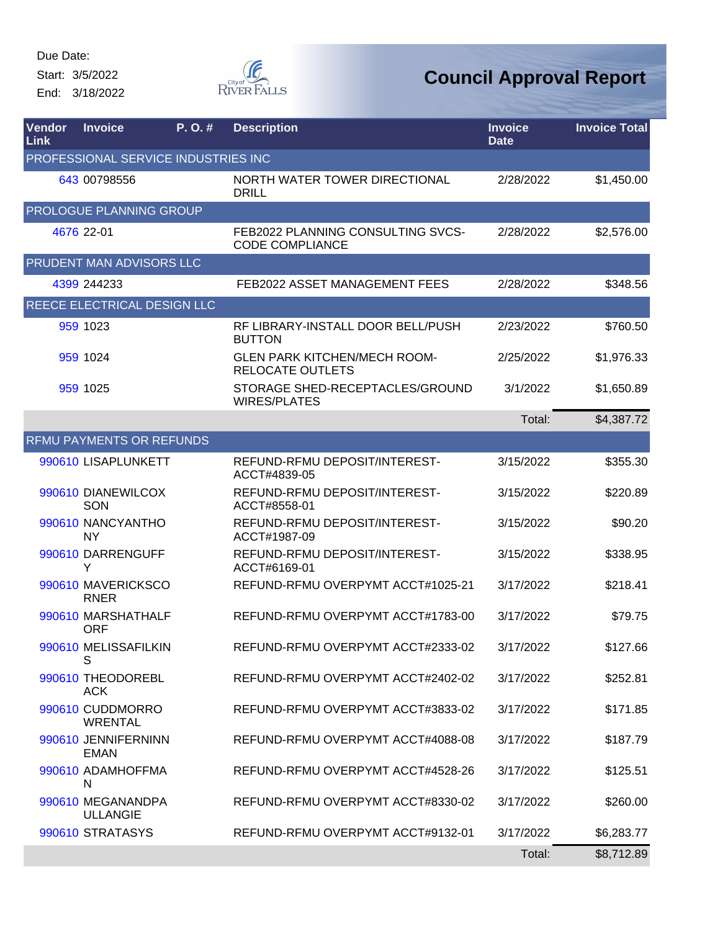Start: 3/5/2022

End: 3/18/2022



| Vendor<br>Link | <b>Invoice</b>                       | P.O.#                               | <b>Description</b>                                             | <b>Invoice</b><br><b>Date</b> | <b>Invoice Total</b> |
|----------------|--------------------------------------|-------------------------------------|----------------------------------------------------------------|-------------------------------|----------------------|
|                |                                      | PROFESSIONAL SERVICE INDUSTRIES INC |                                                                |                               |                      |
|                | 643 00798556                         |                                     | NORTH WATER TOWER DIRECTIONAL<br><b>DRILL</b>                  | 2/28/2022                     | \$1,450.00           |
|                | <b>PROLOGUE PLANNING GROUP</b>       |                                     |                                                                |                               |                      |
|                | 4676 22-01                           |                                     | FEB2022 PLANNING CONSULTING SVCS-<br><b>CODE COMPLIANCE</b>    | 2/28/2022                     | \$2,576.00           |
|                | PRUDENT MAN ADVISORS LLC             |                                     |                                                                |                               |                      |
|                | 4399 244233                          |                                     | <b>FEB2022 ASSET MANAGEMENT FEES</b>                           | 2/28/2022                     | \$348.56             |
|                | REECE ELECTRICAL DESIGN LLC          |                                     |                                                                |                               |                      |
|                | 959 1023                             |                                     | RF LIBRARY-INSTALL DOOR BELL/PUSH<br><b>BUTTON</b>             | 2/23/2022                     | \$760.50             |
|                | 959 1024                             |                                     | <b>GLEN PARK KITCHEN/MECH ROOM-</b><br><b>RELOCATE OUTLETS</b> | 2/25/2022                     | \$1,976.33           |
|                | 959 1025                             |                                     | STORAGE SHED-RECEPTACLES/GROUND<br><b>WIRES/PLATES</b>         | 3/1/2022                      | \$1,650.89           |
|                |                                      |                                     |                                                                | Total:                        | \$4,387.72           |
|                | <b>RFMU PAYMENTS OR REFUNDS</b>      |                                     |                                                                |                               |                      |
|                | 990610 LISAPLUNKETT                  |                                     | REFUND-RFMU DEPOSIT/INTEREST-<br>ACCT#4839-05                  | 3/15/2022                     | \$355.30             |
|                | 990610 DIANEWILCOX<br>SON            |                                     | REFUND-RFMU DEPOSIT/INTEREST-<br>ACCT#8558-01                  | 3/15/2022                     | \$220.89             |
|                | 990610 NANCYANTHO<br><b>NY</b>       |                                     | REFUND-RFMU DEPOSIT/INTEREST-<br>ACCT#1987-09                  | 3/15/2022                     | \$90.20              |
|                | 990610 DARRENGUFF<br>Y               |                                     | REFUND-RFMU DEPOSIT/INTEREST-<br>ACCT#6169-01                  | 3/15/2022                     | \$338.95             |
|                | 990610 MAVERICKSCO<br><b>RNER</b>    |                                     | REFUND-RFMU OVERPYMT ACCT#1025-21                              | 3/17/2022                     | \$218.41             |
|                | 990610 MARSHATHALF<br><b>ORF</b>     |                                     | REFUND-RFMU OVERPYMT ACCT#1783-00                              | 3/17/2022                     | \$79.75              |
|                | 990610 MELISSAFILKIN<br>S            |                                     | REFUND-RFMU OVERPYMT ACCT#2333-02                              | 3/17/2022                     | \$127.66             |
|                | 990610 THEODOREBL<br>ACK             |                                     | REFUND-RFMU OVERPYMT ACCT#2402-02                              | 3/17/2022                     | \$252.81             |
|                | 990610 CUDDMORRO<br><b>WRENTAL</b>   |                                     | REFUND-RFMU OVERPYMT ACCT#3833-02                              | 3/17/2022                     | \$171.85             |
|                | 990610 JENNIFERNINN<br><b>EMAN</b>   |                                     | REFUND-RFMU OVERPYMT ACCT#4088-08                              | 3/17/2022                     | \$187.79             |
|                | 990610 ADAMHOFFMA<br>N               |                                     | REFUND-RFMU OVERPYMT ACCT#4528-26                              | 3/17/2022                     | \$125.51             |
|                | 990610 MEGANANDPA<br><b>ULLANGIE</b> |                                     | REFUND-RFMU OVERPYMT ACCT#8330-02                              | 3/17/2022                     | \$260.00             |
|                | 990610 STRATASYS                     |                                     | REFUND-RFMU OVERPYMT ACCT#9132-01                              | 3/17/2022                     | \$6,283.77           |
|                |                                      |                                     |                                                                | Total:                        | \$8,712.89           |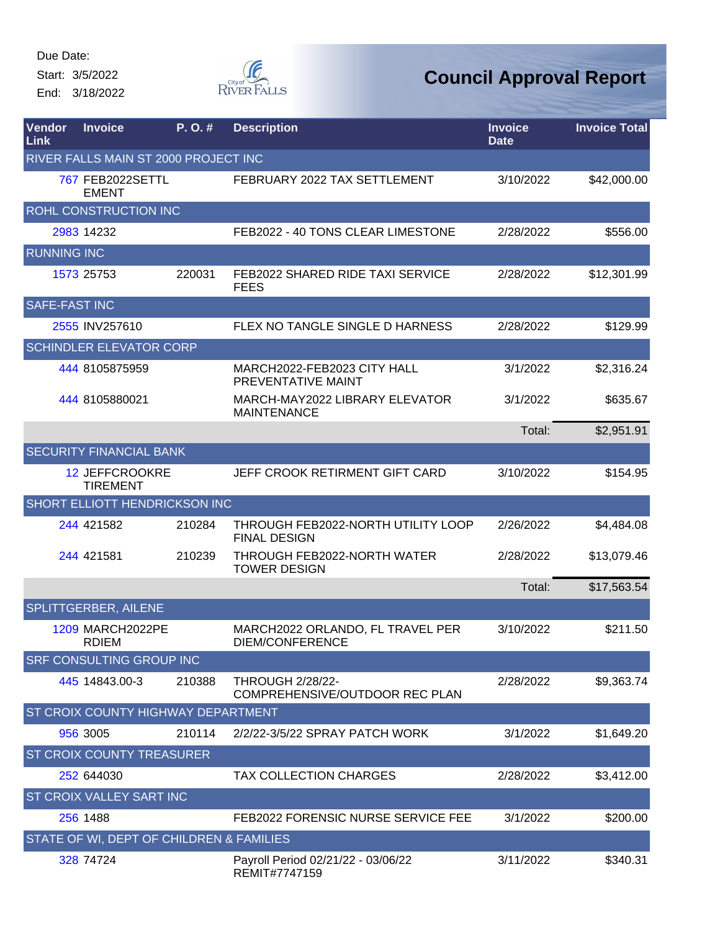Start: 3/5/2022

End: 3/18/2022



| <b>Vendor</b><br>Link | <b>Invoice</b>                           | P.O.#  | <b>Description</b>                                        | <b>Invoice</b><br><b>Date</b> | <b>Invoice Total</b> |
|-----------------------|------------------------------------------|--------|-----------------------------------------------------------|-------------------------------|----------------------|
|                       | RIVER FALLS MAIN ST 2000 PROJECT INC     |        |                                                           |                               |                      |
|                       | 767 FEB2022SETTL<br><b>EMENT</b>         |        | FEBRUARY 2022 TAX SETTLEMENT                              | 3/10/2022                     | \$42,000.00          |
|                       | ROHL CONSTRUCTION INC                    |        |                                                           |                               |                      |
|                       | 2983 14232                               |        | FEB2022 - 40 TONS CLEAR LIMESTONE                         | 2/28/2022                     | \$556.00             |
| <b>RUNNING INC</b>    |                                          |        |                                                           |                               |                      |
|                       | 1573 25753                               | 220031 | <b>FEB2022 SHARED RIDE TAXI SERVICE</b><br><b>FEES</b>    | 2/28/2022                     | \$12,301.99          |
| <b>SAFE-FAST INC</b>  |                                          |        |                                                           |                               |                      |
|                       | 2555 INV257610                           |        | FLEX NO TANGLE SINGLE D HARNESS                           | 2/28/2022                     | \$129.99             |
|                       | <b>SCHINDLER ELEVATOR CORP</b>           |        |                                                           |                               |                      |
|                       | 444 8105875959                           |        | MARCH2022-FEB2023 CITY HALL<br>PREVENTATIVE MAINT         | 3/1/2022                      | \$2,316.24           |
|                       | 444 8105880021                           |        | MARCH-MAY2022 LIBRARY ELEVATOR<br><b>MAINTENANCE</b>      | 3/1/2022                      | \$635.67             |
|                       |                                          |        |                                                           | Total:                        | \$2,951.91           |
|                       | <b>SECURITY FINANCIAL BANK</b>           |        |                                                           |                               |                      |
|                       | <b>12 JEFFCROOKRE</b><br><b>TIREMENT</b> |        | JEFF CROOK RETIRMENT GIFT CARD                            | 3/10/2022                     | \$154.95             |
|                       | SHORT ELLIOTT HENDRICKSON INC            |        |                                                           |                               |                      |
|                       | 244 421582                               | 210284 | THROUGH FEB2022-NORTH UTILITY LOOP<br><b>FINAL DESIGN</b> | 2/26/2022                     | \$4,484.08           |
|                       | 244 421581                               | 210239 | THROUGH FEB2022-NORTH WATER<br><b>TOWER DESIGN</b>        | 2/28/2022                     | \$13,079.46          |
|                       |                                          |        |                                                           | Total:                        | \$17,563.54          |
|                       | SPLITTGERBER, AILENE                     |        |                                                           |                               |                      |
|                       | 1209 MARCH2022PE<br><b>RDIEM</b>         |        | MARCH2022 ORLANDO, FL TRAVEL PER<br>DIEM/CONFERENCE       | 3/10/2022                     | \$211.50             |
|                       | <b>SRF CONSULTING GROUP INC</b>          |        |                                                           |                               |                      |
|                       | 445 14843.00-3                           | 210388 | <b>THROUGH 2/28/22-</b><br>COMPREHENSIVE/OUTDOOR REC PLAN | 2/28/2022                     | \$9,363.74           |
|                       | ST CROIX COUNTY HIGHWAY DEPARTMENT       |        |                                                           |                               |                      |
|                       | 956 3005                                 | 210114 | 2/2/22-3/5/22 SPRAY PATCH WORK                            | 3/1/2022                      | \$1,649.20           |
|                       | ST CROIX COUNTY TREASURER                |        |                                                           |                               |                      |
|                       | 252 644030                               |        | <b>TAX COLLECTION CHARGES</b>                             | 2/28/2022                     | \$3,412.00           |
|                       | ST CROIX VALLEY SART INC                 |        |                                                           |                               |                      |
|                       | 256 1488                                 |        | FEB2022 FORENSIC NURSE SERVICE FEE                        | 3/1/2022                      | \$200.00             |
|                       | STATE OF WI, DEPT OF CHILDREN & FAMILIES |        |                                                           |                               |                      |
|                       | 328 74724                                |        | Payroll Period 02/21/22 - 03/06/22<br>REMIT#7747159       | 3/11/2022                     | \$340.31             |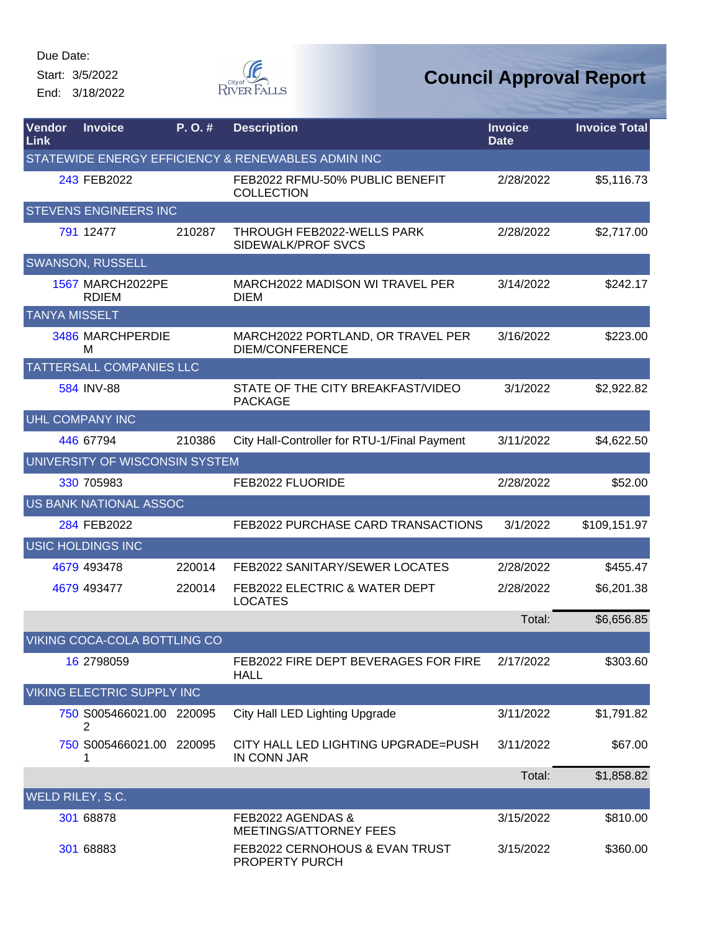Start: 3/5/2022

End: 3/18/2022



| <b>Vendor</b><br>Link | <b>Invoice</b>                          | P.O.#  | <b>Description</b>                                          | <b>Invoice</b><br><b>Date</b> | <b>Invoice Total</b> |
|-----------------------|-----------------------------------------|--------|-------------------------------------------------------------|-------------------------------|----------------------|
|                       |                                         |        | STATEWIDE ENERGY EFFICIENCY & RENEWABLES ADMIN INC          |                               |                      |
|                       | 243 FEB2022                             |        | FEB2022 RFMU-50% PUBLIC BENEFIT<br><b>COLLECTION</b>        | 2/28/2022                     | \$5,116.73           |
|                       | <b>STEVENS ENGINEERS INC</b>            |        |                                                             |                               |                      |
|                       | 791 12477                               | 210287 | THROUGH FEB2022-WELLS PARK<br>SIDEWALK/PROF SVCS            | 2/28/2022                     | \$2,717.00           |
|                       | <b>SWANSON, RUSSELL</b>                 |        |                                                             |                               |                      |
|                       | <b>1567 MARCH2022PE</b><br><b>RDIEM</b> |        | MARCH2022 MADISON WI TRAVEL PER<br><b>DIEM</b>              | 3/14/2022                     | \$242.17             |
| <b>TANYA MISSELT</b>  |                                         |        |                                                             |                               |                      |
|                       | 3486 MARCHPERDIE<br>M                   |        | MARCH2022 PORTLAND, OR TRAVEL PER<br><b>DIEM/CONFERENCE</b> | 3/16/2022                     | \$223.00             |
|                       | <b>TATTERSALL COMPANIES LLC</b>         |        |                                                             |                               |                      |
|                       | 584 INV-88                              |        | STATE OF THE CITY BREAKFAST/VIDEO<br><b>PACKAGE</b>         | 3/1/2022                      | \$2,922.82           |
|                       | UHL COMPANY INC                         |        |                                                             |                               |                      |
|                       | 446 67794                               | 210386 | City Hall-Controller for RTU-1/Final Payment                | 3/11/2022                     | \$4,622.50           |
|                       | UNIVERSITY OF WISCONSIN SYSTEM          |        |                                                             |                               |                      |
|                       | 330 705983                              |        | FEB2022 FLUORIDE                                            | 2/28/2022                     | \$52.00              |
|                       | US BANK NATIONAL ASSOC                  |        |                                                             |                               |                      |
|                       | 284 FEB2022                             |        | FEB2022 PURCHASE CARD TRANSACTIONS                          | 3/1/2022                      | \$109,151.97         |
|                       | <b>USIC HOLDINGS INC</b>                |        |                                                             |                               |                      |
|                       | 4679 493478                             | 220014 | FEB2022 SANITARY/SEWER LOCATES                              | 2/28/2022                     | \$455.47             |
|                       | 4679 493477                             | 220014 | FEB2022 ELECTRIC & WATER DEPT<br><b>LOCATES</b>             | 2/28/2022                     | \$6,201.38           |
|                       |                                         |        |                                                             | Total:                        | \$6,656.85           |
|                       | VIKING COCA-COLA BOTTLING CO            |        |                                                             |                               |                      |
|                       | 16 2798059                              |        | FEB2022 FIRE DEPT BEVERAGES FOR FIRE<br><b>HALL</b>         | 2/17/2022                     | \$303.60             |
|                       | VIKING ELECTRIC SUPPLY INC              |        |                                                             |                               |                      |
|                       | 750 S005466021.00 220095<br>2           |        | City Hall LED Lighting Upgrade                              | 3/11/2022                     | \$1,791.82           |
|                       | 750 S005466021.00 220095<br>1           |        | CITY HALL LED LIGHTING UPGRADE=PUSH<br><b>IN CONN JAR</b>   | 3/11/2022                     | \$67.00              |
|                       |                                         |        |                                                             | Total:                        | \$1,858.82           |
| WELD RILEY, S.C.      |                                         |        |                                                             |                               |                      |
|                       | 301 68878                               |        | FEB2022 AGENDAS &<br><b>MEETINGS/ATTORNEY FEES</b>          | 3/15/2022                     | \$810.00             |
|                       | 301 68883                               |        | FEB2022 CERNOHOUS & EVAN TRUST<br>PROPERTY PURCH            | 3/15/2022                     | \$360.00             |